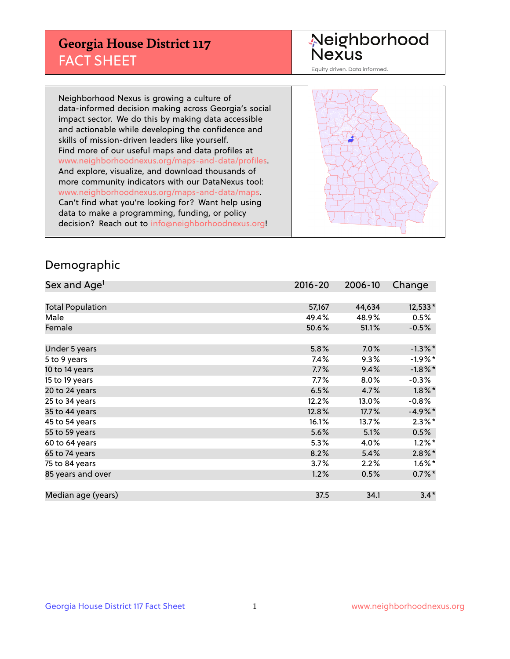## **Georgia House District 117** FACT SHEET

# Neighborhood<br>Nexus

Equity driven. Data informed.

Neighborhood Nexus is growing a culture of data-informed decision making across Georgia's social impact sector. We do this by making data accessible and actionable while developing the confidence and skills of mission-driven leaders like yourself. Find more of our useful maps and data profiles at www.neighborhoodnexus.org/maps-and-data/profiles. And explore, visualize, and download thousands of more community indicators with our DataNexus tool: www.neighborhoodnexus.org/maps-and-data/maps. Can't find what you're looking for? Want help using data to make a programming, funding, or policy decision? Reach out to [info@neighborhoodnexus.org!](mailto:info@neighborhoodnexus.org)



### Demographic

| Sex and Age <sup>1</sup> | $2016 - 20$ | 2006-10 | Change     |
|--------------------------|-------------|---------|------------|
|                          |             |         |            |
| <b>Total Population</b>  | 57,167      | 44,634  | 12,533*    |
| Male                     | 49.4%       | 48.9%   | 0.5%       |
| Female                   | 50.6%       | 51.1%   | $-0.5%$    |
|                          |             |         |            |
| Under 5 years            | 5.8%        | 7.0%    | $-1.3\%$ * |
| 5 to 9 years             | 7.4%        | 9.3%    | $-1.9%$ *  |
| 10 to 14 years           | 7.7%        | 9.4%    | $-1.8\%$ * |
| 15 to 19 years           | 7.7%        | 8.0%    | $-0.3%$    |
| 20 to 24 years           | 6.5%        | 4.7%    | $1.8\%$ *  |
| 25 to 34 years           | 12.2%       | 13.0%   | $-0.8%$    |
| 35 to 44 years           | 12.8%       | 17.7%   | $-4.9%$ *  |
| 45 to 54 years           | 16.1%       | 13.7%   | $2.3\%$ *  |
| 55 to 59 years           | 5.6%        | 5.1%    | 0.5%       |
| 60 to 64 years           | 5.3%        | 4.0%    | $1.2\%$ *  |
| 65 to 74 years           | 8.2%        | 5.4%    | $2.8\%$ *  |
| 75 to 84 years           | 3.7%        | 2.2%    | $1.6\%$ *  |
| 85 years and over        | 1.2%        | 0.5%    | $0.7\%$ *  |
|                          |             |         |            |
| Median age (years)       | 37.5        | 34.1    | $3.4*$     |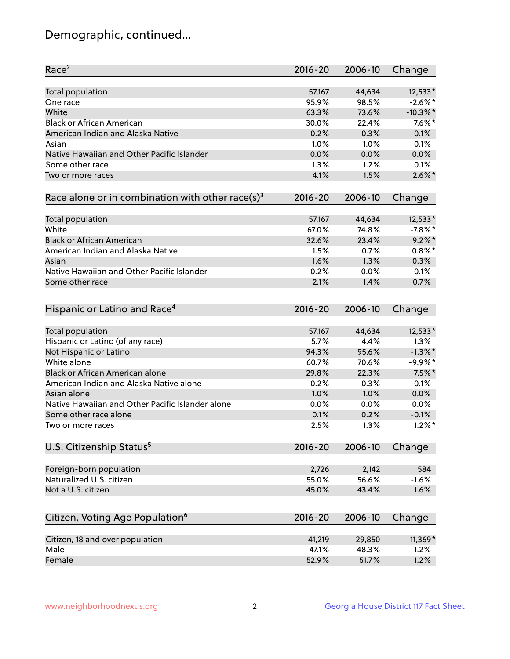## Demographic, continued...

| Race <sup>2</sup>                                            | $2016 - 20$ | 2006-10 | Change      |
|--------------------------------------------------------------|-------------|---------|-------------|
| <b>Total population</b>                                      | 57,167      | 44,634  | 12,533*     |
| One race                                                     | 95.9%       | 98.5%   | $-2.6\%$ *  |
| White                                                        | 63.3%       | 73.6%   | $-10.3\%$ * |
| <b>Black or African American</b>                             | 30.0%       | 22.4%   | $7.6\%$ *   |
| American Indian and Alaska Native                            | 0.2%        | 0.3%    | $-0.1%$     |
| Asian                                                        | 1.0%        | 1.0%    | 0.1%        |
| Native Hawaiian and Other Pacific Islander                   | 0.0%        | 0.0%    | 0.0%        |
| Some other race                                              | 1.3%        | 1.2%    | 0.1%        |
| Two or more races                                            | 4.1%        | 1.5%    | $2.6\%$ *   |
| Race alone or in combination with other race(s) <sup>3</sup> | $2016 - 20$ | 2006-10 | Change      |
|                                                              |             |         |             |
| Total population                                             | 57,167      | 44,634  | 12,533*     |
| White                                                        | 67.0%       | 74.8%   | $-7.8\%$ *  |
| <b>Black or African American</b>                             | 32.6%       | 23.4%   | $9.2\%$ *   |
| American Indian and Alaska Native                            | 1.5%        | 0.7%    | $0.8\%$ *   |
| Asian                                                        | 1.6%        | 1.3%    | 0.3%        |
| Native Hawaiian and Other Pacific Islander                   | 0.2%        | 0.0%    | 0.1%        |
| Some other race                                              | 2.1%        | 1.4%    | 0.7%        |
| Hispanic or Latino and Race <sup>4</sup>                     | $2016 - 20$ | 2006-10 | Change      |
| <b>Total population</b>                                      | 57,167      | 44,634  | 12,533*     |
| Hispanic or Latino (of any race)                             | 5.7%        | 4.4%    | 1.3%        |
| Not Hispanic or Latino                                       | 94.3%       | 95.6%   | $-1.3\%$ *  |
| White alone                                                  | 60.7%       | 70.6%   | $-9.9%$ *   |
| <b>Black or African American alone</b>                       | 29.8%       | 22.3%   | $7.5\%$ *   |
| American Indian and Alaska Native alone                      | 0.2%        | 0.3%    | $-0.1%$     |
| Asian alone                                                  | 1.0%        | 1.0%    | 0.0%        |
| Native Hawaiian and Other Pacific Islander alone             | 0.0%        | 0.0%    | 0.0%        |
| Some other race alone                                        | 0.1%        | 0.2%    | $-0.1%$     |
| Two or more races                                            | 2.5%        | 1.3%    | $1.2\%$ *   |
|                                                              |             |         |             |
| U.S. Citizenship Status <sup>5</sup>                         | $2016 - 20$ | 2006-10 | Change      |
| Foreign-born population                                      | 2,726       | 2,142   | 584         |
| Naturalized U.S. citizen                                     | 55.0%       | 56.6%   | $-1.6%$     |
| Not a U.S. citizen                                           | 45.0%       | 43.4%   | 1.6%        |
|                                                              |             |         |             |
| Citizen, Voting Age Population <sup>6</sup>                  | 2016-20     | 2006-10 | Change      |
| Citizen, 18 and over population                              | 41,219      | 29,850  | 11,369*     |
| Male                                                         | 47.1%       | 48.3%   | $-1.2%$     |
| Female                                                       | 52.9%       | 51.7%   | 1.2%        |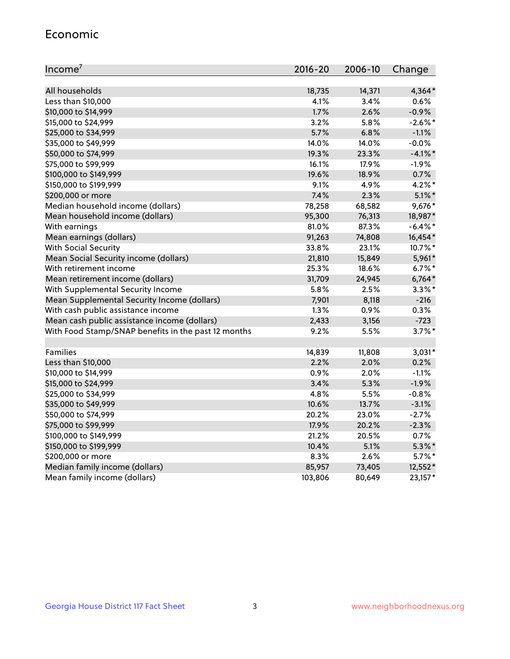#### Economic

| Income <sup>7</sup>                                 | $2016 - 20$ | 2006-10 | Change     |
|-----------------------------------------------------|-------------|---------|------------|
|                                                     |             |         |            |
| All households                                      | 18,735      | 14,371  | 4,364*     |
| Less than \$10,000                                  | 4.1%        | 3.4%    | 0.6%       |
| \$10,000 to \$14,999                                | 1.7%        | 2.6%    | $-0.9%$    |
| \$15,000 to \$24,999                                | 3.2%        | 5.8%    | $-2.6\%$ * |
| \$25,000 to \$34,999                                | 5.7%        | 6.8%    | $-1.1%$    |
| \$35,000 to \$49,999                                | 14.0%       | 14.0%   | $-0.0%$    |
| \$50,000 to \$74,999                                | 19.3%       | 23.3%   | $-4.1\%$ * |
| \$75,000 to \$99,999                                | 16.1%       | 17.9%   | $-1.9%$    |
| \$100,000 to \$149,999                              | 19.6%       | 18.9%   | 0.7%       |
| \$150,000 to \$199,999                              | 9.1%        | 4.9%    | $4.2\%$ *  |
| \$200,000 or more                                   | 7.4%        | 2.3%    | $5.1\%$ *  |
| Median household income (dollars)                   | 78,258      | 68,582  | 9,676*     |
| Mean household income (dollars)                     | 95,300      | 76,313  | 18,987*    |
| With earnings                                       | 81.0%       | 87.3%   | $-6.4\%$ * |
| Mean earnings (dollars)                             | 91,263      | 74,808  | 16,454*    |
| <b>With Social Security</b>                         | 33.8%       | 23.1%   | 10.7%*     |
| Mean Social Security income (dollars)               | 21,810      | 15,849  | 5,961*     |
| With retirement income                              | 25.3%       | 18.6%   | $6.7\%$ *  |
| Mean retirement income (dollars)                    | 31,709      | 24,945  | $6,764*$   |
| With Supplemental Security Income                   | 5.8%        | 2.5%    | $3.3\%$ *  |
| Mean Supplemental Security Income (dollars)         | 7,901       | 8,118   | $-216$     |
| With cash public assistance income                  | 1.3%        | 0.9%    | 0.3%       |
| Mean cash public assistance income (dollars)        | 2,433       | 3,156   | $-723$     |
| With Food Stamp/SNAP benefits in the past 12 months | 9.2%        | 5.5%    | $3.7\%$ *  |
|                                                     |             |         |            |
| Families                                            | 14,839      | 11,808  | $3,031*$   |
| Less than \$10,000                                  | 2.2%        | 2.0%    | 0.2%       |
| \$10,000 to \$14,999                                | 0.9%        | 2.0%    | $-1.1%$    |
| \$15,000 to \$24,999                                | 3.4%        | 5.3%    | $-1.9%$    |
| \$25,000 to \$34,999                                | 4.8%        | 5.5%    | $-0.8%$    |
| \$35,000 to \$49,999                                | 10.6%       | 13.7%   | $-3.1%$    |
| \$50,000 to \$74,999                                | 20.2%       | 23.0%   | $-2.7%$    |
| \$75,000 to \$99,999                                | 17.9%       | 20.2%   | $-2.3%$    |
| \$100,000 to \$149,999                              | 21.2%       | 20.5%   | 0.7%       |
| \$150,000 to \$199,999                              | 10.4%       | 5.1%    | $5.3\%$ *  |
| \$200,000 or more                                   | 8.3%        | 2.6%    | $5.7\%$ *  |
| Median family income (dollars)                      | 85,957      | 73,405  | 12,552*    |
| Mean family income (dollars)                        | 103,806     | 80,649  | 23,157*    |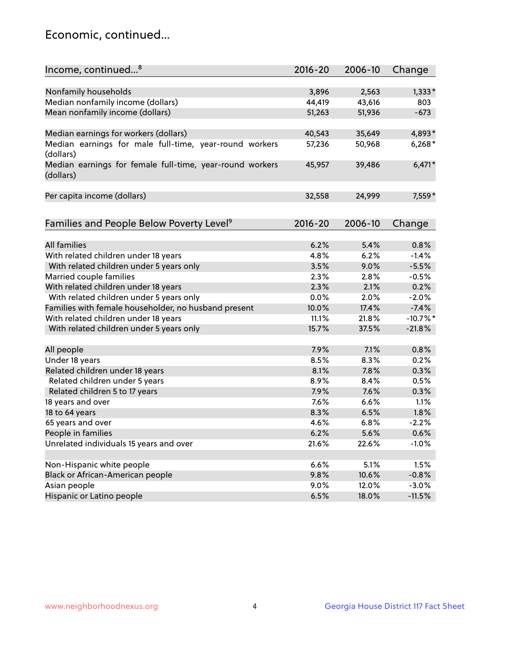## Economic, continued...

| Income, continued <sup>8</sup>                           | 2016-20 | 2006-10 | Change     |
|----------------------------------------------------------|---------|---------|------------|
|                                                          |         |         |            |
| Nonfamily households                                     | 3,896   | 2,563   | $1,333*$   |
| Median nonfamily income (dollars)                        | 44,419  | 43,616  | 803        |
| Mean nonfamily income (dollars)                          | 51,263  | 51,936  | $-673$     |
|                                                          |         |         |            |
| Median earnings for workers (dollars)                    | 40,543  | 35,649  | 4,893*     |
| Median earnings for male full-time, year-round workers   | 57,236  | 50,968  | $6,268*$   |
| (dollars)                                                |         |         |            |
| Median earnings for female full-time, year-round workers | 45,957  | 39,486  | $6,471*$   |
| (dollars)                                                |         |         |            |
|                                                          |         |         |            |
| Per capita income (dollars)                              | 32,558  | 24,999  | 7,559*     |
|                                                          |         |         |            |
|                                                          | 2016-20 | 2006-10 |            |
| Families and People Below Poverty Level <sup>9</sup>     |         |         | Change     |
| <b>All families</b>                                      | 6.2%    | 5.4%    | 0.8%       |
| With related children under 18 years                     | 4.8%    | 6.2%    | $-1.4%$    |
| With related children under 5 years only                 | 3.5%    | 9.0%    | $-5.5%$    |
| Married couple families                                  | 2.3%    | 2.8%    | $-0.5%$    |
| With related children under 18 years                     | 2.3%    | 2.1%    | 0.2%       |
| With related children under 5 years only                 | 0.0%    | 2.0%    | $-2.0%$    |
| Families with female householder, no husband present     | 10.0%   | 17.4%   | $-7.4%$    |
| With related children under 18 years                     | 11.1%   | 21.8%   | $-10.7%$ * |
|                                                          | 15.7%   | 37.5%   | $-21.8%$   |
| With related children under 5 years only                 |         |         |            |
| All people                                               | 7.9%    | 7.1%    | 0.8%       |
| Under 18 years                                           | 8.5%    | 8.3%    | 0.2%       |
| Related children under 18 years                          | 8.1%    | 7.8%    | 0.3%       |
| Related children under 5 years                           | 8.9%    | 8.4%    | 0.5%       |
| Related children 5 to 17 years                           | 7.9%    | 7.6%    | 0.3%       |
| 18 years and over                                        | 7.6%    | 6.6%    | 1.1%       |
| 18 to 64 years                                           | 8.3%    | 6.5%    | 1.8%       |
| 65 years and over                                        | 4.6%    | 6.8%    | $-2.2%$    |
| People in families                                       | 6.2%    | 5.6%    | 0.6%       |
| Unrelated individuals 15 years and over                  | 21.6%   | 22.6%   | $-1.0%$    |
|                                                          |         |         |            |
| Non-Hispanic white people                                | 6.6%    | 5.1%    | 1.5%       |
| Black or African-American people                         | 9.8%    | 10.6%   | $-0.8%$    |
| Asian people                                             | 9.0%    | 12.0%   | $-3.0%$    |
| Hispanic or Latino people                                | 6.5%    | 18.0%   | $-11.5%$   |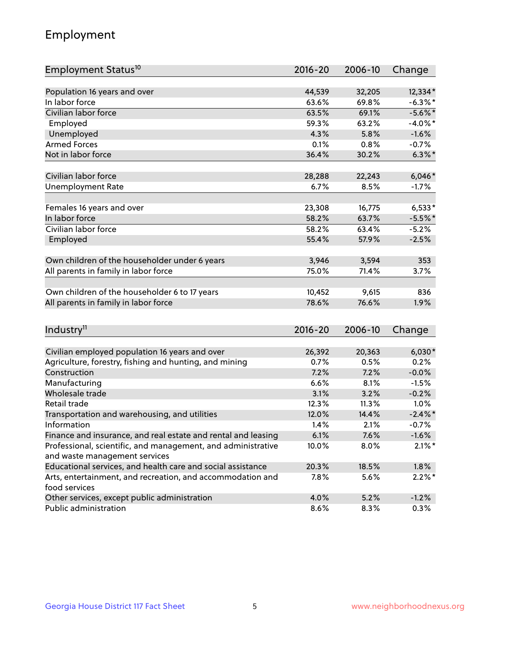## Employment

| Employment Status <sup>10</sup>                                                               | $2016 - 20$ | 2006-10 | Change     |
|-----------------------------------------------------------------------------------------------|-------------|---------|------------|
|                                                                                               |             |         |            |
| Population 16 years and over                                                                  | 44,539      | 32,205  | 12,334*    |
| In labor force                                                                                | 63.6%       | 69.8%   | $-6.3\%$ * |
| Civilian labor force                                                                          | 63.5%       | 69.1%   | $-5.6\%$ * |
| Employed                                                                                      | 59.3%       | 63.2%   | $-4.0\%$ * |
| Unemployed                                                                                    | 4.3%        | 5.8%    | $-1.6%$    |
| <b>Armed Forces</b>                                                                           | 0.1%        | 0.8%    | $-0.7%$    |
| Not in labor force                                                                            | 36.4%       | 30.2%   | $6.3\%$ *  |
| Civilian labor force                                                                          | 28,288      | 22,243  | $6,046*$   |
| <b>Unemployment Rate</b>                                                                      | 6.7%        | 8.5%    | $-1.7%$    |
|                                                                                               |             |         |            |
| Females 16 years and over                                                                     | 23,308      | 16,775  | $6,533*$   |
| In labor force                                                                                | 58.2%       | 63.7%   | $-5.5%$    |
| Civilian labor force                                                                          | 58.2%       | 63.4%   | $-5.2%$    |
| Employed                                                                                      | 55.4%       | 57.9%   | $-2.5%$    |
| Own children of the householder under 6 years                                                 | 3,946       | 3,594   | 353        |
|                                                                                               | 75.0%       | 71.4%   | 3.7%       |
| All parents in family in labor force                                                          |             |         |            |
| Own children of the householder 6 to 17 years                                                 | 10,452      | 9,615   | 836        |
| All parents in family in labor force                                                          | 78.6%       | 76.6%   | 1.9%       |
|                                                                                               |             |         |            |
| Industry <sup>11</sup>                                                                        | $2016 - 20$ | 2006-10 | Change     |
|                                                                                               |             |         |            |
| Civilian employed population 16 years and over                                                | 26,392      | 20,363  | $6,030*$   |
| Agriculture, forestry, fishing and hunting, and mining                                        | 0.7%        | 0.5%    | 0.2%       |
| Construction                                                                                  | 7.2%        | 7.2%    | $-0.0%$    |
| Manufacturing                                                                                 | 6.6%        | 8.1%    | $-1.5%$    |
| Wholesale trade                                                                               | 3.1%        | 3.2%    | $-0.2%$    |
| Retail trade                                                                                  | 12.3%       | 11.3%   | 1.0%       |
| Transportation and warehousing, and utilities                                                 | 12.0%       | 14.4%   | $-2.4\%$   |
| Information                                                                                   | 1.4%        | 2.1%    | $-0.7%$    |
| Finance and insurance, and real estate and rental and leasing                                 | 6.1%        | 7.6%    | $-1.6%$    |
| Professional, scientific, and management, and administrative<br>and waste management services | 10.0%       | 8.0%    | $2.1\%$ *  |
| Educational services, and health care and social assistance                                   | 20.3%       | 18.5%   | 1.8%       |
|                                                                                               |             |         |            |
| Arts, entertainment, and recreation, and accommodation and<br>food services                   | 7.8%        | 5.6%    | $2.2\%$ *  |
| Other services, except public administration                                                  | 4.0%        | 5.2%    | $-1.2%$    |
| Public administration                                                                         | 8.6%        | 8.3%    | 0.3%       |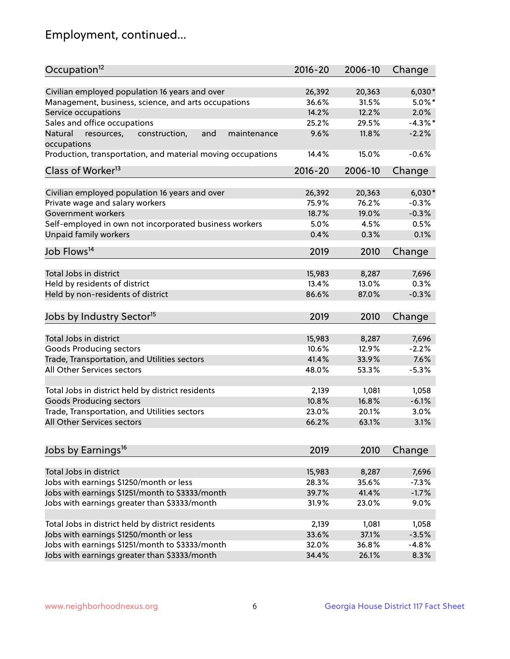## Employment, continued...

| Occupation <sup>12</sup>                                                    | $2016 - 20$    | 2006-10         | Change            |
|-----------------------------------------------------------------------------|----------------|-----------------|-------------------|
| Civilian employed population 16 years and over                              | 26,392         |                 |                   |
|                                                                             |                | 20,363<br>31.5% | $6,030*$          |
| Management, business, science, and arts occupations<br>Service occupations  | 36.6%<br>14.2% | 12.2%           | $5.0\%$ *<br>2.0% |
|                                                                             |                |                 | $-4.3\%$ *        |
| Sales and office occupations                                                | 25.2%          | 29.5%           |                   |
| Natural<br>and<br>resources,<br>construction,<br>maintenance<br>occupations | 9.6%           | 11.8%           | $-2.2%$           |
| Production, transportation, and material moving occupations                 | 14.4%          | 15.0%           | $-0.6%$           |
| Class of Worker <sup>13</sup>                                               | 2016-20        | 2006-10         | Change            |
|                                                                             |                |                 |                   |
| Civilian employed population 16 years and over                              | 26,392         | 20,363          | $6,030*$          |
| Private wage and salary workers                                             | 75.9%          | 76.2%           | $-0.3%$           |
| Government workers                                                          | 18.7%          | 19.0%           | $-0.3%$           |
| Self-employed in own not incorporated business workers                      | 5.0%           | 4.5%            | 0.5%              |
| Unpaid family workers                                                       | 0.4%           | 0.3%            | 0.1%              |
| Job Flows <sup>14</sup>                                                     | 2019           | 2010            | Change            |
|                                                                             |                |                 |                   |
| Total Jobs in district                                                      | 15,983         | 8,287           | 7,696             |
| Held by residents of district                                               | 13.4%          | 13.0%           | 0.3%              |
| Held by non-residents of district                                           | 86.6%          | 87.0%           | $-0.3%$           |
|                                                                             |                |                 |                   |
| Jobs by Industry Sector <sup>15</sup>                                       | 2019           | 2010            | Change            |
| Total Jobs in district                                                      | 15,983         | 8,287           | 7,696             |
| Goods Producing sectors                                                     | 10.6%          | 12.9%           | $-2.2%$           |
| Trade, Transportation, and Utilities sectors                                | 41.4%          | 33.9%           | 7.6%              |
| All Other Services sectors                                                  | 48.0%          | 53.3%           | $-5.3%$           |
|                                                                             |                |                 |                   |
| Total Jobs in district held by district residents                           | 2,139          | 1,081           | 1,058             |
| <b>Goods Producing sectors</b>                                              | 10.8%          | 16.8%           | $-6.1%$           |
| Trade, Transportation, and Utilities sectors                                | 23.0%          | 20.1%           | 3.0%              |
| All Other Services sectors                                                  | 66.2%          | 63.1%           | 3.1%              |
|                                                                             |                |                 |                   |
| Jobs by Earnings <sup>16</sup>                                              | 2019           | 2010            | Change            |
|                                                                             |                |                 |                   |
| Total Jobs in district                                                      | 15,983         | 8,287           | 7,696             |
| Jobs with earnings \$1250/month or less                                     | 28.3%          | 35.6%           | $-7.3%$           |
| Jobs with earnings \$1251/month to \$3333/month                             | 39.7%          | 41.4%           | $-1.7%$           |
| Jobs with earnings greater than \$3333/month                                | 31.9%          | 23.0%           | 9.0%              |
|                                                                             |                |                 |                   |
| Total Jobs in district held by district residents                           | 2,139          | 1,081           | 1,058             |
| Jobs with earnings \$1250/month or less                                     | 33.6%          | 37.1%           | $-3.5%$           |
| Jobs with earnings \$1251/month to \$3333/month                             | 32.0%          | 36.8%           | $-4.8%$           |
| Jobs with earnings greater than \$3333/month                                | 34.4%          | 26.1%           | 8.3%              |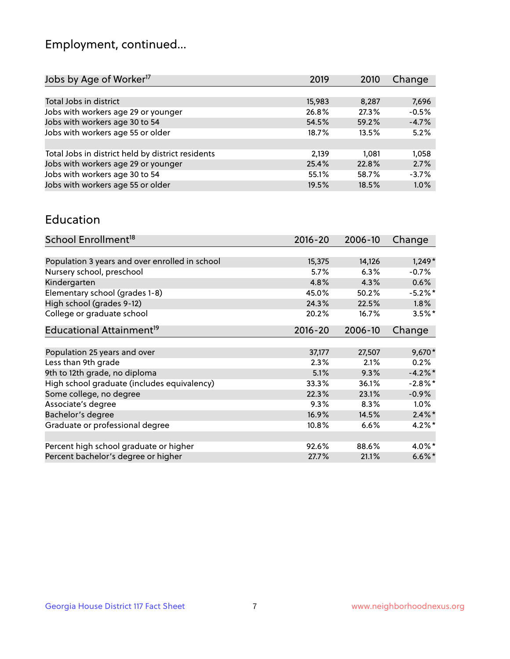## Employment, continued...

| 2019   | 2010  | Change  |
|--------|-------|---------|
|        |       |         |
| 15,983 | 8,287 | 7,696   |
| 26.8%  | 27.3% | $-0.5%$ |
| 54.5%  | 59.2% | $-4.7%$ |
| 18.7%  | 13.5% | 5.2%    |
|        |       |         |
| 2,139  | 1.081 | 1,058   |
| 25.4%  | 22.8% | 2.7%    |
| 55.1%  | 58.7% | $-3.7%$ |
| 19.5%  | 18.5% | 1.0%    |
|        |       |         |

#### Education

| School Enrollment <sup>18</sup>                | $2016 - 20$ | 2006-10 | Change     |
|------------------------------------------------|-------------|---------|------------|
|                                                |             |         |            |
| Population 3 years and over enrolled in school | 15,375      | 14,126  | $1,249*$   |
| Nursery school, preschool                      | 5.7%        | 6.3%    | $-0.7%$    |
| Kindergarten                                   | 4.8%        | 4.3%    | 0.6%       |
| Elementary school (grades 1-8)                 | 45.0%       | 50.2%   | $-5.2%$ *  |
| High school (grades 9-12)                      | 24.3%       | 22.5%   | $1.8\%$    |
| College or graduate school                     | 20.2%       | 16.7%   | $3.5%$ *   |
| Educational Attainment <sup>19</sup>           | $2016 - 20$ | 2006-10 | Change     |
|                                                |             |         |            |
| Population 25 years and over                   | 37,177      | 27,507  | $9,670*$   |
| Less than 9th grade                            | 2.3%        | 2.1%    | 0.2%       |
| 9th to 12th grade, no diploma                  | 5.1%        | 9.3%    | $-4.2%$ *  |
| High school graduate (includes equivalency)    | 33.3%       | 36.1%   | $-2.8\%$ * |
| Some college, no degree                        | 22.3%       | 23.1%   | $-0.9%$    |
| Associate's degree                             | 9.3%        | 8.3%    | 1.0%       |
| Bachelor's degree                              | 16.9%       | 14.5%   | $2.4\%$ *  |
| Graduate or professional degree                | 10.8%       | 6.6%    | $4.2\%$ *  |
|                                                |             |         |            |
| Percent high school graduate or higher         | 92.6%       | 88.6%   | 4.0%*      |
| Percent bachelor's degree or higher            | 27.7%       | 21.1%   | $6.6\%$ *  |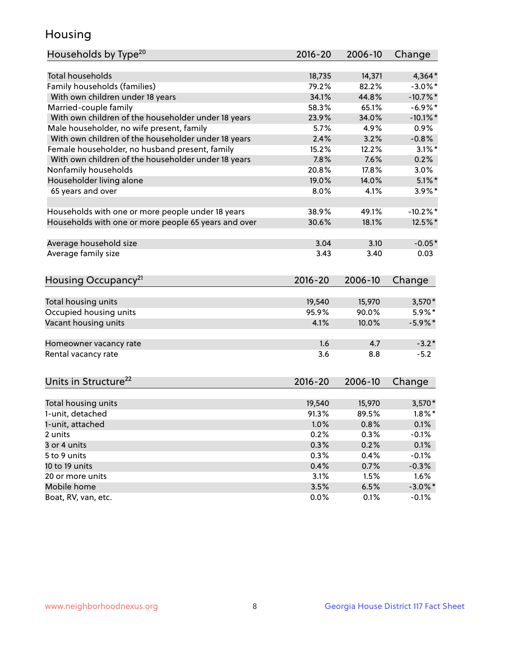## Housing

| Households by Type <sup>20</sup>                     | 2016-20     | 2006-10 | Change      |
|------------------------------------------------------|-------------|---------|-------------|
|                                                      |             |         |             |
| <b>Total households</b>                              | 18,735      | 14,371  | $4,364*$    |
| Family households (families)                         | 79.2%       | 82.2%   | $-3.0\%$ *  |
| With own children under 18 years                     | 34.1%       | 44.8%   | $-10.7\%$ * |
| Married-couple family                                | 58.3%       | 65.1%   | $-6.9%$ *   |
| With own children of the householder under 18 years  | 23.9%       | 34.0%   | $-10.1\%$ * |
| Male householder, no wife present, family            | 5.7%        | 4.9%    | $0.9\%$     |
| With own children of the householder under 18 years  | 2.4%        | 3.2%    | $-0.8%$     |
| Female householder, no husband present, family       | 15.2%       | 12.2%   | $3.1\%$ *   |
| With own children of the householder under 18 years  | 7.8%        | 7.6%    | 0.2%        |
| Nonfamily households                                 | 20.8%       | 17.8%   | $3.0\%$     |
| Householder living alone                             | 19.0%       | 14.0%   | $5.1\%$ *   |
| 65 years and over                                    | 8.0%        | 4.1%    | $3.9\%$ *   |
|                                                      |             |         |             |
| Households with one or more people under 18 years    | 38.9%       | 49.1%   | $-10.2\%$ * |
| Households with one or more people 65 years and over | 30.6%       | 18.1%   | 12.5%*      |
| Average household size                               | 3.04        | 3.10    | $-0.05*$    |
| Average family size                                  | 3.43        | 3.40    | 0.03        |
|                                                      |             |         |             |
| Housing Occupancy <sup>21</sup>                      | 2016-20     | 2006-10 | Change      |
| Total housing units                                  | 19,540      | 15,970  | $3,570*$    |
| Occupied housing units                               | 95.9%       | 90.0%   | 5.9%*       |
| Vacant housing units                                 | 4.1%        | 10.0%   | $-5.9\%$ *  |
|                                                      |             |         |             |
| Homeowner vacancy rate                               | 1.6         | 4.7     | $-3.2*$     |
| Rental vacancy rate                                  | 3.6         | 8.8     | $-5.2$      |
|                                                      |             |         |             |
| Units in Structure <sup>22</sup>                     | $2016 - 20$ | 2006-10 | Change      |
| Total housing units                                  | 19,540      | 15,970  | $3,570*$    |
| 1-unit, detached                                     | 91.3%       | 89.5%   | $1.8\%$ *   |
| 1-unit, attached                                     | 1.0%        | 0.8%    | 0.1%        |
| 2 units                                              | 0.2%        | 0.3%    | $-0.1%$     |
| 3 or 4 units                                         | 0.3%        | 0.2%    | 0.1%        |
| 5 to 9 units                                         | 0.3%        | 0.4%    | $-0.1%$     |
| 10 to 19 units                                       | 0.4%        | 0.7%    | $-0.3%$     |
| 20 or more units                                     | 3.1%        | 1.5%    | 1.6%        |
| Mobile home                                          | 3.5%        | 6.5%    | $-3.0\%$ *  |
| Boat, RV, van, etc.                                  | 0.0%        | 0.1%    | $-0.1%$     |
|                                                      |             |         |             |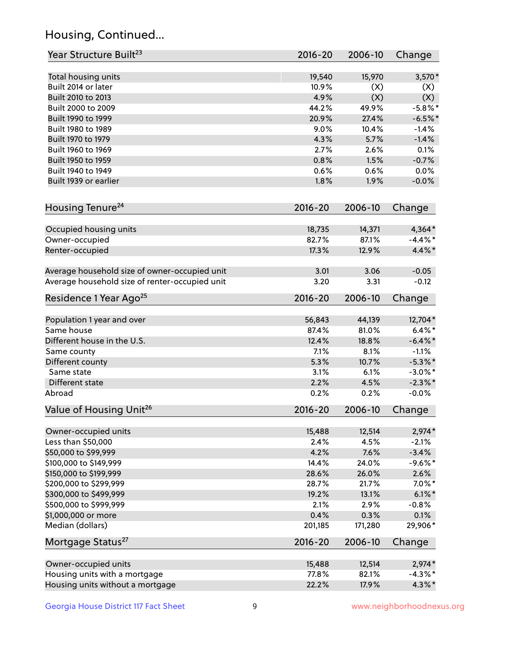## Housing, Continued...

| Year Structure Built <sup>23</sup>             | 2016-20     | 2006-10 | Change     |
|------------------------------------------------|-------------|---------|------------|
| Total housing units                            | 19,540      | 15,970  | $3,570*$   |
| Built 2014 or later                            | 10.9%       | (X)     | (X)        |
| Built 2010 to 2013                             | 4.9%        | (X)     | (X)        |
| Built 2000 to 2009                             | 44.2%       | 49.9%   | $-5.8\%$ * |
| Built 1990 to 1999                             | 20.9%       | 27.4%   | $-6.5%$ *  |
| Built 1980 to 1989                             | 9.0%        | 10.4%   | $-1.4%$    |
| Built 1970 to 1979                             | 4.3%        | 5.7%    | $-1.4%$    |
| Built 1960 to 1969                             | 2.7%        | 2.6%    | 0.1%       |
| Built 1950 to 1959                             | 0.8%        | 1.5%    | $-0.7%$    |
| Built 1940 to 1949                             | 0.6%        | 0.6%    | 0.0%       |
| Built 1939 or earlier                          | 1.8%        | 1.9%    | $-0.0%$    |
| Housing Tenure <sup>24</sup>                   | $2016 - 20$ | 2006-10 | Change     |
|                                                |             |         |            |
| Occupied housing units                         | 18,735      | 14,371  | $4,364*$   |
| Owner-occupied                                 | 82.7%       | 87.1%   | $-4.4\%$ * |
| Renter-occupied                                | 17.3%       | 12.9%   | 4.4%*      |
| Average household size of owner-occupied unit  | 3.01        | 3.06    | $-0.05$    |
| Average household size of renter-occupied unit | 3.20        | 3.31    | $-0.12$    |
| Residence 1 Year Ago <sup>25</sup>             | $2016 - 20$ | 2006-10 | Change     |
| Population 1 year and over                     | 56,843      | 44,139  | 12,704*    |
| Same house                                     | 87.4%       | 81.0%   | $6.4\%*$   |
| Different house in the U.S.                    | 12.4%       | 18.8%   | $-6.4\%$ * |
| Same county                                    | 7.1%        | 8.1%    | $-1.1%$    |
| Different county                               | 5.3%        | 10.7%   | $-5.3\%$ * |
| Same state                                     | 3.1%        | 6.1%    | $-3.0\%$ * |
| Different state                                | 2.2%        | 4.5%    | $-2.3\%$ * |
| Abroad                                         | 0.2%        | 0.2%    | $-0.0%$    |
| Value of Housing Unit <sup>26</sup>            | $2016 - 20$ | 2006-10 | Change     |
|                                                |             |         |            |
| Owner-occupied units                           | 15,488      | 12,514  | $2,974*$   |
| Less than \$50,000                             | 2.4%        | 4.5%    | $-2.1%$    |
| \$50,000 to \$99,999                           | 4.2%        | 7.6%    | $-3.4%$    |
| \$100,000 to \$149,999                         | 14.4%       | 24.0%   | $-9.6%$ *  |
| \$150,000 to \$199,999                         | 28.6%       | 26.0%   | 2.6%       |
| \$200,000 to \$299,999                         | 28.7%       | 21.7%   | $7.0\%$ *  |
| \$300,000 to \$499,999                         | 19.2%       | 13.1%   | $6.1\%$ *  |
| \$500,000 to \$999,999                         | 2.1%        | 2.9%    | $-0.8%$    |
| \$1,000,000 or more                            | 0.4%        | 0.3%    | 0.1%       |
| Median (dollars)                               | 201,185     | 171,280 | 29,906*    |
| Mortgage Status <sup>27</sup>                  | $2016 - 20$ | 2006-10 | Change     |
| Owner-occupied units                           | 15,488      | 12,514  | $2,974*$   |
| Housing units with a mortgage                  | 77.8%       | 82.1%   | $-4.3\%$ * |
| Housing units without a mortgage               | 22.2%       | 17.9%   | $4.3\%$ *  |
|                                                |             |         |            |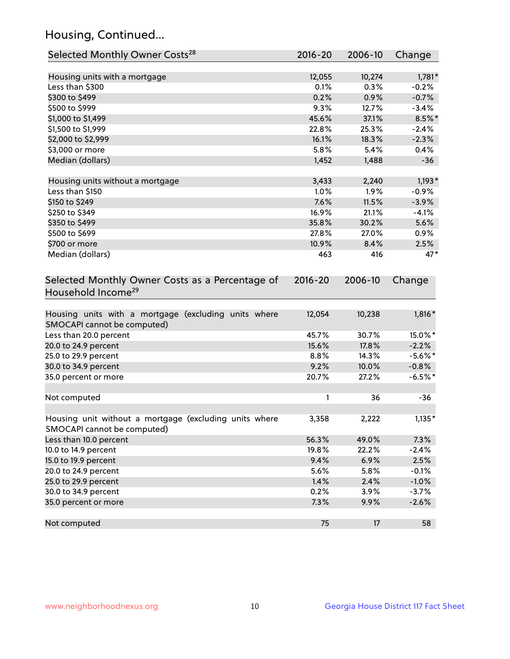## Housing, Continued...

| Selected Monthly Owner Costs <sup>28</sup>                                            | 2016-20 | 2006-10 | Change     |
|---------------------------------------------------------------------------------------|---------|---------|------------|
| Housing units with a mortgage                                                         | 12,055  | 10,274  | $1,781*$   |
| Less than \$300                                                                       | 0.1%    | 0.3%    | $-0.2%$    |
| \$300 to \$499                                                                        | 0.2%    | 0.9%    | $-0.7%$    |
| \$500 to \$999                                                                        | 9.3%    | 12.7%   | $-3.4%$    |
| \$1,000 to \$1,499                                                                    | 45.6%   | 37.1%   | $8.5\%$ *  |
| \$1,500 to \$1,999                                                                    | 22.8%   | 25.3%   | $-2.4%$    |
| \$2,000 to \$2,999                                                                    | 16.1%   | 18.3%   | $-2.3%$    |
| \$3,000 or more                                                                       | 5.8%    | 5.4%    | 0.4%       |
| Median (dollars)                                                                      | 1,452   | 1,488   | $-36$      |
| Housing units without a mortgage                                                      | 3,433   | 2,240   | $1,193*$   |
| Less than \$150                                                                       | 1.0%    | 1.9%    | $-0.9%$    |
| \$150 to \$249                                                                        | 7.6%    | 11.5%   | $-3.9%$    |
| \$250 to \$349                                                                        | 16.9%   | 21.1%   | $-4.1%$    |
| \$350 to \$499                                                                        | 35.8%   | 30.2%   | 5.6%       |
| \$500 to \$699                                                                        | 27.8%   | 27.0%   | 0.9%       |
| \$700 or more                                                                         | 10.9%   | 8.4%    | 2.5%       |
| Median (dollars)                                                                      | 463     | 416     | $47*$      |
| Selected Monthly Owner Costs as a Percentage of<br>Household Income <sup>29</sup>     |         |         | Change     |
| Housing units with a mortgage (excluding units where<br>SMOCAPI cannot be computed)   | 12,054  | 10,238  | $1,816*$   |
| Less than 20.0 percent                                                                | 45.7%   | 30.7%   | 15.0%*     |
| 20.0 to 24.9 percent                                                                  | 15.6%   | 17.8%   | $-2.2%$    |
| 25.0 to 29.9 percent                                                                  | 8.8%    | 14.3%   | $-5.6\%$ * |
| 30.0 to 34.9 percent                                                                  | 9.2%    | 10.0%   | $-0.8%$    |
| 35.0 percent or more                                                                  | 20.7%   | 27.2%   | $-6.5%$ *  |
| Not computed                                                                          | 1       | 36      | $-36$      |
| Housing unit without a mortgage (excluding units where<br>SMOCAPI cannot be computed) | 3,358   | 2,222   | $1,135*$   |
| Less than 10.0 percent                                                                | 56.3%   | 49.0%   | 7.3%       |
| 10.0 to 14.9 percent                                                                  | 19.8%   | 22.2%   | $-2.4%$    |
| 15.0 to 19.9 percent                                                                  | 9.4%    | 6.9%    | 2.5%       |
| 20.0 to 24.9 percent                                                                  | 5.6%    | 5.8%    | $-0.1%$    |
| 25.0 to 29.9 percent                                                                  | 1.4%    | 2.4%    | $-1.0%$    |
| 30.0 to 34.9 percent                                                                  | 0.2%    | 3.9%    | $-3.7%$    |
| 35.0 percent or more                                                                  | 7.3%    | 9.9%    | $-2.6%$    |
| Not computed                                                                          | 75      | 17      | 58         |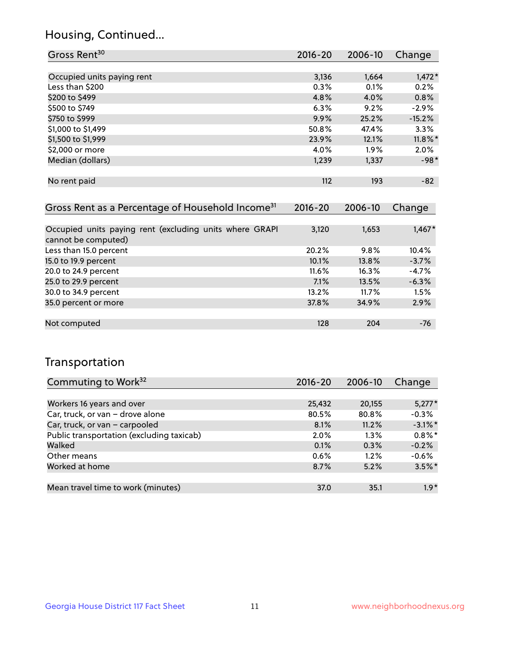## Housing, Continued...

| Gross Rent <sup>30</sup>   | 2016-20 | 2006-10 | Change     |
|----------------------------|---------|---------|------------|
|                            |         |         |            |
| Occupied units paying rent | 3,136   | 1,664   | $1,472*$   |
| Less than \$200            | 0.3%    | 0.1%    | 0.2%       |
| \$200 to \$499             | 4.8%    | 4.0%    | 0.8%       |
| \$500 to \$749             | 6.3%    | 9.2%    | $-2.9%$    |
| \$750 to \$999             | 9.9%    | 25.2%   | $-15.2%$   |
| \$1,000 to \$1,499         | 50.8%   | 47.4%   | 3.3%       |
| \$1,500 to \$1,999         | 23.9%   | 12.1%   | $11.8\%$ * |
| \$2,000 or more            | 4.0%    | $1.9\%$ | 2.0%       |
| Median (dollars)           | 1,239   | 1,337   | $-98*$     |
|                            |         |         |            |
| No rent paid               | 112     | 193     | $-82$      |

| Gross Rent as a Percentage of Household Income <sup>31</sup>                   | $2016 - 20$ | 2006-10 | Change   |
|--------------------------------------------------------------------------------|-------------|---------|----------|
|                                                                                |             |         |          |
| Occupied units paying rent (excluding units where GRAPI<br>cannot be computed) | 3,120       | 1,653   | $1,467*$ |
| Less than 15.0 percent                                                         | 20.2%       | 9.8%    | 10.4%    |
| 15.0 to 19.9 percent                                                           | 10.1%       | 13.8%   | $-3.7%$  |
| 20.0 to 24.9 percent                                                           | $11.6\%$    | 16.3%   | $-4.7%$  |
| 25.0 to 29.9 percent                                                           | 7.1%        | 13.5%   | $-6.3%$  |
| 30.0 to 34.9 percent                                                           | 13.2%       | 11.7%   | 1.5%     |
| 35.0 percent or more                                                           | 37.8%       | 34.9%   | 2.9%     |
|                                                                                |             |         |          |
| Not computed                                                                   | 128         | 204     | $-76$    |

## Transportation

| Commuting to Work <sup>32</sup>           | 2016-20 | 2006-10 | Change     |
|-------------------------------------------|---------|---------|------------|
|                                           |         |         |            |
| Workers 16 years and over                 | 25,432  | 20,155  | $5,277*$   |
| Car, truck, or van - drove alone          | 80.5%   | 80.8%   | $-0.3%$    |
| Car, truck, or van - carpooled            | 8.1%    | 11.2%   | $-3.1\%$ * |
| Public transportation (excluding taxicab) | 2.0%    | $1.3\%$ | $0.8\%$ *  |
| Walked                                    | 0.1%    | 0.3%    | $-0.2%$    |
| Other means                               | 0.6%    | 1.2%    | $-0.6%$    |
| Worked at home                            | 8.7%    | 5.2%    | $3.5\%$ *  |
|                                           |         |         |            |
| Mean travel time to work (minutes)        | 37.0    | 35.1    | $1.9*$     |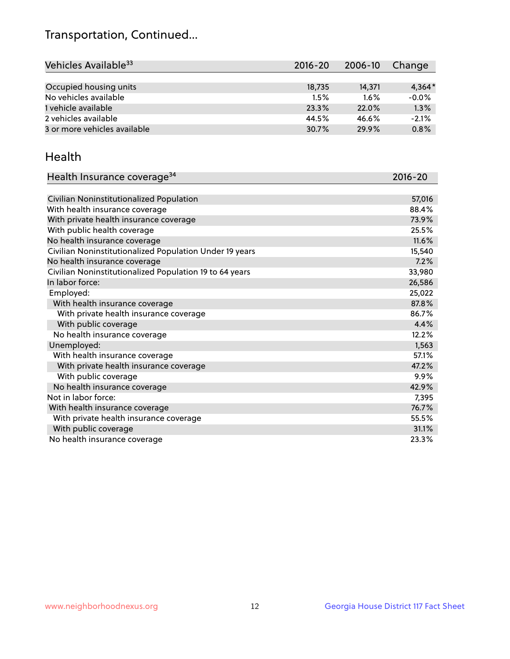## Transportation, Continued...

| Vehicles Available <sup>33</sup> | 2016-20 | 2006-10 | Change   |
|----------------------------------|---------|---------|----------|
|                                  |         |         |          |
| Occupied housing units           | 18,735  | 14,371  | $4,364*$ |
| No vehicles available            | 1.5%    | $1.6\%$ | $-0.0%$  |
| 1 vehicle available              | 23.3%   | 22.0%   | 1.3%     |
| 2 vehicles available             | 44.5%   | 46.6%   | $-2.1%$  |
| 3 or more vehicles available     | 30.7%   | 29.9%   | 0.8%     |

#### Health

| Health Insurance coverage <sup>34</sup>                 | 2016-20 |
|---------------------------------------------------------|---------|
|                                                         |         |
| Civilian Noninstitutionalized Population                | 57,016  |
| With health insurance coverage                          | 88.4%   |
| With private health insurance coverage                  | 73.9%   |
| With public health coverage                             | 25.5%   |
| No health insurance coverage                            | 11.6%   |
| Civilian Noninstitutionalized Population Under 19 years | 15,540  |
| No health insurance coverage                            | 7.2%    |
| Civilian Noninstitutionalized Population 19 to 64 years | 33,980  |
| In labor force:                                         | 26,586  |
| Employed:                                               | 25,022  |
| With health insurance coverage                          | 87.8%   |
| With private health insurance coverage                  | 86.7%   |
| With public coverage                                    | 4.4%    |
| No health insurance coverage                            | 12.2%   |
| Unemployed:                                             | 1,563   |
| With health insurance coverage                          | 57.1%   |
| With private health insurance coverage                  | 47.2%   |
| With public coverage                                    | $9.9\%$ |
| No health insurance coverage                            | 42.9%   |
| Not in labor force:                                     | 7,395   |
| With health insurance coverage                          | 76.7%   |
| With private health insurance coverage                  | 55.5%   |
| With public coverage                                    | 31.1%   |
| No health insurance coverage                            | 23.3%   |